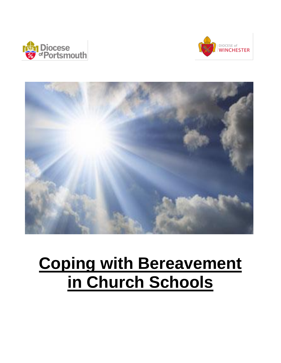





# **Coping with Bereavement in Church Schools**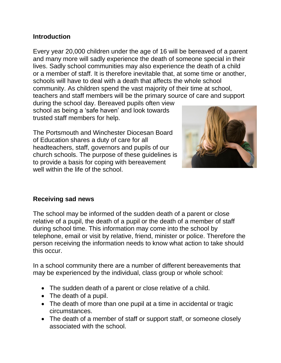## **Introduction**

Every year 20,000 children under the age of 16 will be bereaved of a parent and many more will sadly experience the death of someone special in their lives. Sadly school communities may also experience the death of a child or a member of staff. It is therefore inevitable that, at some time or another, schools will have to deal with a death that affects the whole school community. As children spend the vast majority of their time at school, teachers and staff members will be the primary source of care and support

during the school day. Bereaved pupils often view school as being a 'safe haven' and look towards trusted staff members for help.

The Portsmouth and Winchester Diocesan Board of Education shares a duty of care for all headteachers, staff, governors and pupils of our church schools. The purpose of these guidelines is to provide a basis for coping with bereavement well within the life of the school.



#### **Receiving sad news**

The school may be informed of the sudden death of a parent or close relative of a pupil, the death of a pupil or the death of a member of staff during school time. This information may come into the school by telephone, email or visit by relative, friend, minister or police. Therefore the person receiving the information needs to know what action to take should this occur.

In a school community there are a number of different bereavements that may be experienced by the individual, class group or whole school:

- The sudden death of a parent or close relative of a child.
- The death of a pupil.
- The death of more than one pupil at a time in accidental or tragic circumstances.
- The death of a member of staff or support staff, or someone closely associated with the school.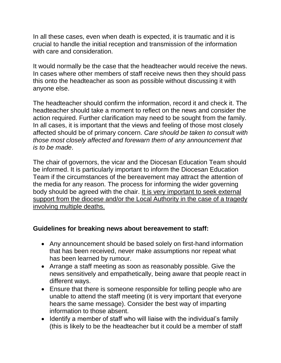In all these cases, even when death is expected, it is traumatic and it is crucial to handle the initial reception and transmission of the information with care and consideration.

It would normally be the case that the headteacher would receive the news. In cases where other members of staff receive news then they should pass this onto the headteacher as soon as possible without discussing it with anyone else.

The headteacher should confirm the information, record it and check it. The headteacher should take a moment to reflect on the news and consider the action required. Further clarification may need to be sought from the family. In all cases, it is important that the views and feeling of those most closely affected should be of primary concern. *Care should be taken to consult with those most closely affected and forewarn them of any announcement that is to be made*.

The chair of governors, the vicar and the Diocesan Education Team should be informed. It is particularly important to inform the Diocesan Education Team if the circumstances of the bereavement may attract the attention of the media for any reason. The process for informing the wider governing body should be agreed with the chair. It is very important to seek external support from the diocese and/or the Local Authority in the case of a tragedy involving multiple deaths.

## **Guidelines for breaking news about bereavement to staff:**

- Any announcement should be based solely on first-hand information that has been received, never make assumptions nor repeat what has been learned by rumour.
- Arrange a staff meeting as soon as reasonably possible. Give the news sensitively and empathetically, being aware that people react in different ways.
- Ensure that there is someone responsible for telling people who are unable to attend the staff meeting (it is very important that everyone hears the same message). Consider the best way of imparting information to those absent.
- Identify a member of staff who will liaise with the individual's family (this is likely to be the headteacher but it could be a member of staff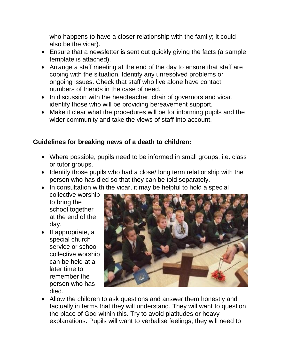who happens to have a closer relationship with the family; it could also be the vicar).

- Ensure that a newsletter is sent out quickly giving the facts (a sample template is attached).
- Arrange a staff meeting at the end of the day to ensure that staff are coping with the situation. Identify any unresolved problems or ongoing issues. Check that staff who live alone have contact numbers of friends in the case of need.
- In discussion with the headteacher, chair of governors and vicar, identify those who will be providing bereavement support.
- Make it clear what the procedures will be for informing pupils and the wider community and take the views of staff into account.

# **Guidelines for breaking news of a death to children:**

- Where possible, pupils need to be informed in small groups, i.e. class or tutor groups.
- Identify those pupils who had a close/ long term relationship with the person who has died so that they can be told separately.
- In consultation with the vicar, it may be helpful to hold a special

collective worship to bring the school together at the end of the day.

 $\bullet$  If appropriate, a special church service or school collective worship can be held at a later time to remember the person who has died.



 Allow the children to ask questions and answer them honestly and factually in terms that they will understand. They will want to question the place of God within this. Try to avoid platitudes or heavy explanations. Pupils will want to verbalise feelings; they will need to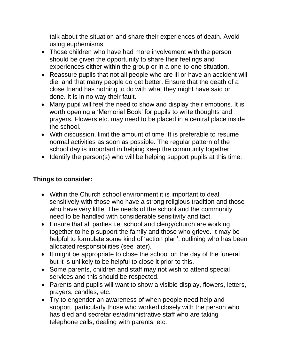talk about the situation and share their experiences of death. Avoid using euphemisms

- Those children who have had more involvement with the person should be given the opportunity to share their feelings and experiences either within the group or in a one-to-one situation.
- Reassure pupils that not all people who are ill or have an accident will die, and that many people do get better. Ensure that the death of a close friend has nothing to do with what they might have said or done. It is in no way their fault.
- Many pupil will feel the need to show and display their emotions. It is worth opening a 'Memorial Book' for pupils to write thoughts and prayers. Flowers etc. may need to be placed in a central place inside the school.
- With discussion, limit the amount of time. It is preferable to resume normal activities as soon as possible. The regular pattern of the school day is important in helping keep the community together.
- Identify the person(s) who will be helping support pupils at this time.

# **Things to consider:**

- Within the Church school environment it is important to deal sensitively with those who have a strong religious tradition and those who have very little. The needs of the school and the community need to be handled with considerable sensitivity and tact.
- Ensure that all parties i.e. school and clergy/church are working together to help support the family and those who grieve. It may be helpful to formulate some kind of 'action plan', outlining who has been allocated responsibilities (see later).
- It might be appropriate to close the school on the day of the funeral but it is unlikely to be helpful to close it prior to this.
- Some parents, children and staff may not wish to attend special services and this should be respected.
- Parents and pupils will want to show a visible display, flowers, letters, prayers, candles, etc.
- Try to engender an awareness of when people need help and support, particularly those who worked closely with the person who has died and secretaries/administrative staff who are taking telephone calls, dealing with parents, etc.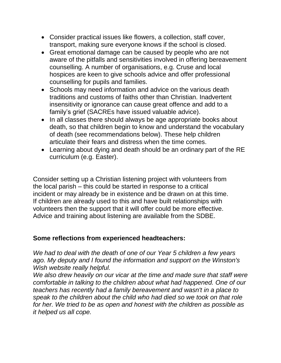- Consider practical issues like flowers, a collection, staff cover, transport, making sure everyone knows if the school is closed.
- Great emotional damage can be caused by people who are not aware of the pitfalls and sensitivities involved in offering bereavement counselling. A number of organisations, e.g. Cruse and local hospices are keen to give schools advice and offer professional counselling for pupils and families.
- Schools may need information and advice on the various death traditions and customs of faiths other than Christian. Inadvertent insensitivity or ignorance can cause great offence and add to a family's grief (SACREs have issued valuable advice).
- In all classes there should always be age appropriate books about death, so that children begin to know and understand the vocabulary of death (see recommendations below). These help children articulate their fears and distress when the time comes.
- Learning about dying and death should be an ordinary part of the RE curriculum (e.g. Easter).

Consider setting up a Christian listening project with volunteers from the local parish – this could be started in response to a critical incident or may already be in existence and be drawn on at this time. If children are already used to this and have built relationships with volunteers then the support that it will offer could be more effective. Advice and training about listening are available from the SDBE.

#### **Some reflections from experienced headteachers:**

*We had to deal with the death of one of our Year 5 children a few years ago. My deputy and I found the information and support on the Winston's Wish website really helpful.* 

*We also drew heavily on our vicar at the time and made sure that staff were comfortable in talking to the children about what had happened. One of our teachers has recently had a family bereavement and wasn't in a place to speak to the children about the child who had died so we took on that role for her. We tried to be as open and honest with the children as possible as it helped us all cope.*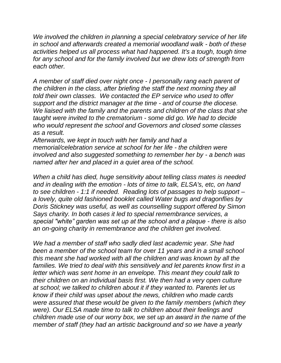We involved the children in planning a special celebratory service of her life *in school and afterwards created a memorial woodland walk - both of these activities helped us all process what had happened. It's a tough, tough time for any school and for the family involved but we drew lots of strength from each other.*

*A member of staff died over night once - I personally rang each parent of the children in the class, after briefing the staff the next morning they all told their own classes. We contacted the EP service who used to offer support and the district manager at the time - and of course the diocese. We liaised with the family and the parents and children of the class that she taught were invited to the crematorium - some did go. We had to decide who would represent the school and Governors and closed some classes as a result.*

*Afterwards, we kept in touch with her family and had a memorial/celebration service at school for her life - the children were involved and also suggested something to remember her by - a bench was named after her and placed in a quiet area of the school.*

*When a child has died, huge sensitivity about telling class mates is needed and in dealing with the emotion - lots of time to talk, ELSA's, etc, on hand to see children - 1:1 if needed. Reading lots of passages to help support – a lovely, quite old fashioned booklet called Water bugs and dragonflies by Doris Stickney was useful, as well as counselling support offered by Simon Says charity. In both cases it led to special remembrance services, a special "white" garden was set up at the school and a plaque - there is also an on-going charity in remembrance and the children get involved.*

*We had a member of staff who sadly died last academic year. She had been a member of the school team for over 11 years and in a small school this meant she had worked with all the children and was known by all the families. We tried to deal with this sensitively and let parents know first in a letter which was sent home in an envelope. This meant they could talk to their children on an individual basis first. We then had a very open culture at school; we talked to children about it if they wanted to. Parents let us know if their child was upset about the news, children who made cards were assured that these would be given to the family members (which they were). Our ELSA made time to talk to children about their feelings and children made use of our worry box, we set up an award in the name of the member of staff (they had an artistic background and so we have a yearly*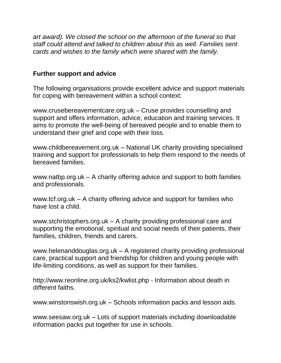*art award). We closed the school on the afternoon of the funeral so that staff could attend and talked to children about this as well. Families sent cards and wishes to the family which were shared with the family.*

## **Further support and advice**

The following organisations provide excellent advice and support materials for coping with bereavement within a school context:

www.crusebereavementcare.org.uk – Cruse provides counselling and support and offers information, advice, education and training services. It aims to promote the well-being of bereaved people and to enable them to understand their grief and cope with their loss.

www.childbereavement.org.uk – National UK charity providing specialised training and support for professionals to help them respond to the needs of bereaved families.

www.natbp.org.uk – A charity offering advice and support to both families and professionals.

www.tcf.org.uk – A charity offering advice and support for families who have lost a child.

www.stchristophers.org.uk – A charity providing professional care and supporting the emotional, spiritual and social needs of their patients, their families, children, friends and carers.

www.helenanddouglas.org.uk – A registered charity providing professional care, practical support and friendship for children and young people with life-limiting conditions, as well as support for their families.

http://www.reonline.org.uk/ks2/kwlist.php - Information about death in different faiths.

www.winstonswish.org.uk – Schools information packs and lesson aids.

www.seesaw.org.uk – Lots of support materials including downloadable information packs put together for use in schools.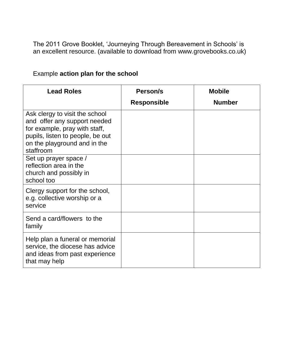The 2011 Grove Booklet, 'Journeying Through Bereavement in Schools' is an excellent resource. (available to download from www.grovebooks.co.uk)

# Example **action plan for the school**

| <b>Lead Roles</b>                                                                                                                                                                | Person/s           | <b>Mobile</b> |
|----------------------------------------------------------------------------------------------------------------------------------------------------------------------------------|--------------------|---------------|
|                                                                                                                                                                                  | <b>Responsible</b> | <b>Number</b> |
| Ask clergy to visit the school<br>and offer any support needed<br>for example, pray with staff,<br>pupils, listen to people, be out<br>on the playground and in the<br>staffroom |                    |               |
| Set up prayer space /<br>reflection area in the<br>church and possibly in<br>school too                                                                                          |                    |               |
| Clergy support for the school,<br>e.g. collective worship or a<br>service                                                                                                        |                    |               |
| Send a card/flowers to the<br>family                                                                                                                                             |                    |               |
| Help plan a funeral or memorial<br>service, the diocese has advice<br>and ideas from past experience<br>that may help                                                            |                    |               |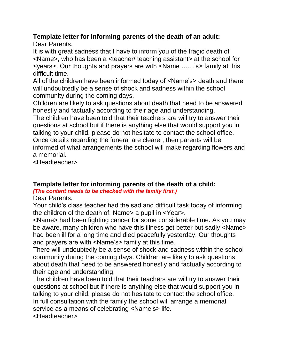# **Template letter for informing parents of the death of an adult:**

Dear Parents,

It is with great sadness that I have to inform you of the tragic death of <Name>, who has been a <teacher/ teaching assistant> at the school for <years>. Our thoughts and prayers are with <Name ……'s> family at this difficult time.

All of the children have been informed today of <Name's> death and there will undoubtedly be a sense of shock and sadness within the school community during the coming days.

Children are likely to ask questions about death that need to be answered honestly and factually according to their age and understanding.

The children have been told that their teachers are will try to answer their questions at school but if there is anything else that would support you in talking to your child, please do not hesitate to contact the school office. Once details regarding the funeral are clearer, then parents will be informed of what arrangements the school will make regarding flowers and a memorial.

<Headteacher>

# **Template letter for informing parents of the death of a child:**

*(The content needs to be checked with the family first.)*

Dear Parents,

Your child's class teacher had the sad and difficult task today of informing the children of the death of: Name> a pupil in <Year>.

<Name> had been fighting cancer for some considerable time. As you may be aware, many children who have this illness get better but sadly <Name> had been ill for a long time and died peacefully yesterday. Our thoughts and prayers are with <Name's> family at this time.

There will undoubtedly be a sense of shock and sadness within the school community during the coming days. Children are likely to ask questions about death that need to be answered honestly and factually according to their age and understanding.

The children have been told that their teachers are will try to answer their questions at school but if there is anything else that would support you in talking to your child, please do not hesitate to contact the school office. In full consultation with the family the school will arrange a memorial service as a means of celebrating <Name's> life. <Headteacher>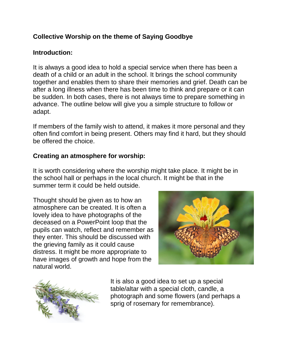# **Collective Worship on the theme of Saying Goodbye**

## **Introduction:**

It is always a good idea to hold a special service when there has been a death of a child or an adult in the school. It brings the school community together and enables them to share their memories and grief. Death can be after a long illness when there has been time to think and prepare or it can be sudden. In both cases, there is not always time to prepare something in advance. The outline below will give you a simple structure to follow or adapt.

If members of the family wish to attend, it makes it more personal and they often find comfort in being present. Others may find it hard, but they should be offered the choice.

## **Creating an atmosphere for worship:**

It is worth considering where the worship might take place. It might be in the school hall or perhaps in the local church. It might be that in the summer term it could be held outside.

Thought should be given as to how an atmosphere can be created. It is often a lovely idea to have photographs of the deceased on a PowerPoint loop that the pupils can watch, reflect and remember as they enter. This should be discussed with the grieving family as it could cause distress. It might be more appropriate to have images of growth and hope from the natural world.





It is also a good idea to set up a special table/altar with a special cloth, candle, a photograph and some flowers (and perhaps a sprig of rosemary for remembrance).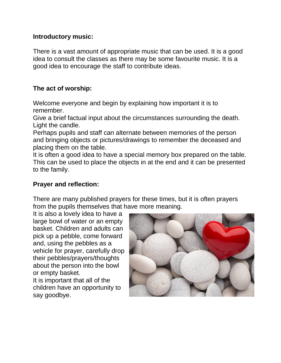#### **Introductory music:**

There is a vast amount of appropriate music that can be used. It is a good idea to consult the classes as there may be some favourite music. It is a good idea to encourage the staff to contribute ideas.

## **The act of worship:**

Welcome everyone and begin by explaining how important it is to remember.

Give a brief factual input about the circumstances surrounding the death. Light the candle.

Perhaps pupils and staff can alternate between memories of the person and bringing objects or pictures/drawings to remember the deceased and placing them on the table.

It is often a good idea to have a special memory box prepared on the table. This can be used to place the objects in at the end and it can be presented to the family.

## **Prayer and reflection:**

There are many published prayers for these times, but it is often prayers from the pupils themselves that have more meaning.

It is also a lovely idea to have a large bowl of water or an empty basket. Children and adults can pick up a pebble, come forward and, using the pebbles as a vehicle for prayer, carefully drop their pebbles/prayers/thoughts about the person into the bowl or empty basket. It is important that all of the children have an opportunity to

say goodbye.

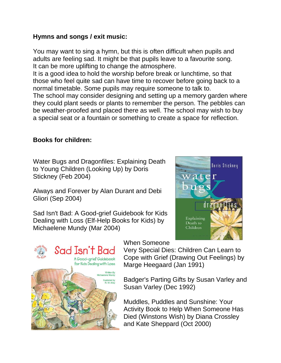## **Hymns and songs / exit music:**

You may want to sing a hymn, but this is often difficult when pupils and adults are feeling sad. It might be that pupils leave to a favourite song. It can be more uplifting to change the atmosphere.

It is a good idea to hold the worship before break or lunchtime, so that those who feel quite sad can have time to recover before going back to a normal timetable. Some pupils may require someone to talk to.

The school may consider designing and setting up a memory garden where they could plant seeds or plants to remember the person. The pebbles can be weather-proofed and placed there as well. The school may wish to buy a special seat or a fountain or something to create a space for reflection.

## **Books for children:**

Water Bugs and Dragonfiles: Explaining Death to Young Children (Looking Up) by Doris Stickney (Feb 2004)

Always and Forever by Alan Durant and Debi Gliori (Sep 2004)

Sad Isn't Bad: A Good-grief Guidebook for Kids Dealing with Loss (Elf-Help Books for Kids) by Michaelene Mundy (Mar 2004)





When Someone

Very Special Dies: Children Can Learn to Cope with Grief (Drawing Out Feelings) by Marge Heegaard (Jan 1991)

Badger's Parting Gifts by Susan Varley and Susan Varley (Dec 1992)

Muddles, Puddles and Sunshine: Your Activity Book to Help When Someone Has Died (Winstons Wish) by Diana Crossley and Kate Sheppard (Oct 2000)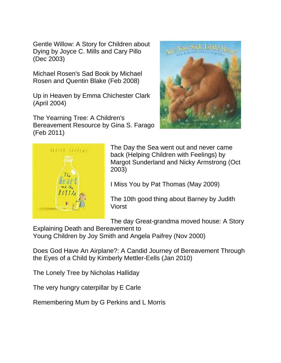Gentle Willow: A Story for Children about Dying by Joyce C. Mills and Cary Pillo (Dec 2003)

Michael Rosen's Sad Book by Michael Rosen and Quentin Blake (Feb 2008)

Up in Heaven by Emma Chichester Clark (April 2004)

The Yearning Tree: A Children's Bereavement Resource by Gina S. Farago (Feb 2011)





The Day the Sea went out and never came back (Helping Children with Feelings) by Margot Sunderland and Nicky Armstrong (Oct 2003)

I Miss You by Pat Thomas (May 2009)

The 10th good thing about Barney by Judith Viorst

The day Great-grandma moved house: A Story

Explaining Death and Bereavement to

Young Children by Joy Smith and Angela Paifrey (Nov 2000)

Does God Have An Airplane?: A Candid Journey of Bereavement Through the Eyes of a Child by Kimberly Mettler-Eells (Jan 2010)

The Lonely Tree by Nicholas Halliday

The very hungry caterpillar by E Carle

Remembering Mum by G Perkins and L Morris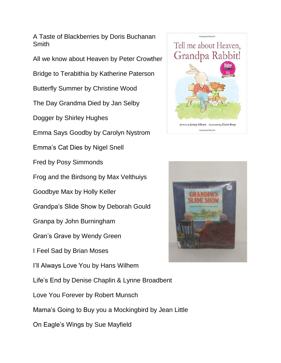A Taste of Blackberries by Doris Buchanan Smith

All we know about Heaven by Peter Crowther

Bridge to Terabithia by Katherine Paterson

Butterfly Summer by Christine Wood

The Day Grandma Died by Jan Selby

Dogger by Shirley Hughes

Emma Says Goodby by Carolyn Nystrom

Emma's Cat Dies by Nigel Snell

Fred by Posy Simmonds

Frog and the Birdsong by Max Velthuiys

Goodbye Max by Holly Keller

Grandpa's Slide Show by Deborah Gould

Granpa by John Burningham

Gran's Grave by Wendy Green

I Feel Sad by Brian Moses

I'll Always Love You by Hans Wilhem

Life's End by Denise Chaplin & Lynne Broadbent

Love You Forever by Robert Munsch

Mama's Going to Buy you a Mockingbird by Jean Little

On Eagle's Wings by Sue Mayfield